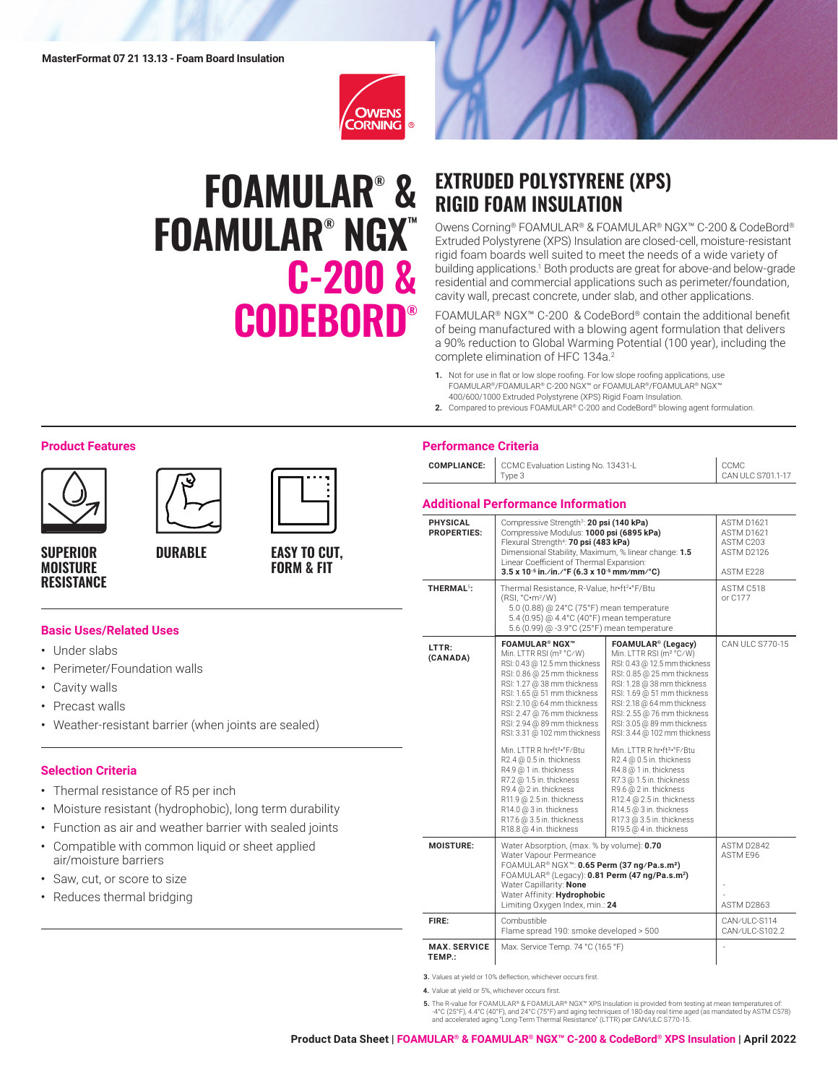

# **FOAMULAR® & FOAMULAR® NGX™ C-200 & CODEBORD®**



# **EXTRUDED POLYSTYRENE (XPS) RIGID FOAM INSULATION**

Owens Corning® FOAMULAR® & FOAMULAR® NGX™ C-200 & CodeBord® Extruded Polystyrene (XPS) Insulation are closed-cell, moisture-resistant rigid foam boards well suited to meet the needs of a wide variety of building applications.<sup>1</sup> Both products are great for above-and below-grade residential and commercial applications such as perimeter/foundation, cavity wall, precast concrete, under slab, and other applications.

FOAMULAR® NGX™ C-200 & CodeBord® contain the additional benefit of being manufactured with a blowing agent formulation that delivers a 90% reduction to Global Warming Potential (100 year), including the complete elimination of HFC 134a.<sup>2</sup>

- **1.** Not for use in flat or low slope roofing. For low slope roofing applications, use FOAMULAR®/FOAMULAR® C-200 NGX™ or FOAMULAR®/FOAMULAR® NGX™ 400/600/1000 Extruded Polystyrene (XPS) Rigid Foam Insulation.
- **2.** Compared to previous FOAMULAR® C-200 and CodeBord® blowing agent formulation.

### **Performance Criteria**

| <b>COMPLIANCE:</b> CCMC Evaluation Listing No. 13431-L | CCMC              |
|--------------------------------------------------------|-------------------|
| Type 3                                                 | CAN ULC S701.1-17 |

#### **Additional Performance Information**

| <b>PHYSICAL</b><br><b>PROPERTIES:</b> | Compressive Strength <sup>3</sup> : <b>20 psi (140 kPa)</b><br>Compressive Modulus: 1000 psi (6895 kPa)<br>Flexural Strength <sup>4</sup> : 70 psi (483 kPa)<br>Dimensional Stability, Maximum, % linear change: 1.5<br>Linear Coefficient of Thermal Expansion:<br>$3.5 \times 10^{-5}$ in./in./°F (6.3 x 10 <sup>-5</sup> mm/mm/°C)                                                                                                                                                                                                                                                          | ASTM D1621<br>ASTM D1621<br>ASTM C203<br>ASTM D2126<br>ASTM F228                                                                                                                                                                                                                                                                                                                                                                                                                                                                                                                                        |                                      |  |  |  |
|---------------------------------------|------------------------------------------------------------------------------------------------------------------------------------------------------------------------------------------------------------------------------------------------------------------------------------------------------------------------------------------------------------------------------------------------------------------------------------------------------------------------------------------------------------------------------------------------------------------------------------------------|---------------------------------------------------------------------------------------------------------------------------------------------------------------------------------------------------------------------------------------------------------------------------------------------------------------------------------------------------------------------------------------------------------------------------------------------------------------------------------------------------------------------------------------------------------------------------------------------------------|--------------------------------------|--|--|--|
| THERMAL <sup>5</sup> :                | Thermal Resistance, R-Value, hr•ft2•°F/Btu<br>(RSI, °C·m²/W)<br>5.0 (0.88) @ 24°C (75°F) mean temperature<br>5.4 (0.95) @ 4.4°C (40°F) mean temperature<br>5.6 (0.99) @ -3.9°C (25°F) mean temperature                                                                                                                                                                                                                                                                                                                                                                                         | ASTM C518<br>or C177                                                                                                                                                                                                                                                                                                                                                                                                                                                                                                                                                                                    |                                      |  |  |  |
| I TTR:<br>(CANADA)                    | <b>FOAMULAR® NGX™</b><br>Min. LTTR RSI (m <sup>2</sup> °C/W)<br>RSI: 0.43 @ 12.5 mm thickness<br>RSI: 0.86 @ 25 mm thickness<br>RSI: 1.27 @ 38 mm thickness<br>RSI: 1.65 @ 51 mm thickness<br>RSI: 2.10 @ 64 mm thickness<br>RSI: 2.47 @ 76 mm thickness<br>RSI: 2.94 @ 89 mm thickness<br>RSI: 3.31 @ 102 mm thickness<br>Min. I TTR R hr•ft <sup>2</sup> •°F/Btu<br>R2.4 @ 0.5 in. thickness<br>R4.9 @ 1 in. thickness<br>R7.2 @ 1.5 in. thickness<br>R9.4 @ 2 in. thickness<br>R11.9 @ 2.5 in. thickness<br>R14.0 @ 3 in. thickness<br>R17.6 @ 3.5 in. thickness<br>R18.8 @ 4 in. thickness | FOAMULAR <sup>®</sup> (Legacy)<br>Min. LTTR RSI (m <sup>2</sup> °C/W)<br>RSI: 0.43 @ 12.5 mm thickness<br>RSI: 0.85 @ 25 mm thickness<br>RSI: 1.28 @ 38 mm thickness<br>RSI: 1.69 @ 51 mm thickness<br>RSI: 2.18 @ 64 mm thickness<br>RSI: 2.55 @ 76 mm thickness<br>RSI: 3.05 @ 89 mm thickness<br>RSI: 3.44 @ 102 mm thickness<br>Min. I TTR R hr•ft <sup>2</sup> •°F/Btu<br>R2.4 @ 0.5 in. thickness<br>R4.8 @ 1 in. thickness<br>R7.3 @ 1.5 in. thickness<br>R9.6 @ 2 in. thickness<br>R12.4 @ 2.5 in. thickness<br>R14.5 @ 3 in. thickness<br>R17.3 @ 3.5 in. thickness<br>R19.5 @ 4 in. thickness | CAN ULC S770-15                      |  |  |  |
| <b>MOISTURE:</b>                      | Water Absorption, (max. % by volume): 0.70<br>Water Vapour Permeance<br>FOAMULAR® NGX™: 0.65 Perm (37 ng/Pa.s.m <sup>2</sup> )<br>FOAMULAR® (Legacy): 0.81 Perm (47 ng/Pa.s.m <sup>2</sup> )<br>Water Capillarity: None<br>Water Affinity: Hydrophobic<br>Limiting Oxygen Index, min.: 24                                                                                                                                                                                                                                                                                                      |                                                                                                                                                                                                                                                                                                                                                                                                                                                                                                                                                                                                         | ASTM D2842<br>ASTM E96<br>ASTM D2863 |  |  |  |
| FIRE:                                 | Combustible<br>Flame spread 190: smoke developed > 500                                                                                                                                                                                                                                                                                                                                                                                                                                                                                                                                         |                                                                                                                                                                                                                                                                                                                                                                                                                                                                                                                                                                                                         | CAN/ULC-S114<br>CAN/ULC-S102.2       |  |  |  |
| <b>MAX. SERVICE</b><br>TEMP.:         | Max. Service Temp. 74 °C (165 °F)                                                                                                                                                                                                                                                                                                                                                                                                                                                                                                                                                              |                                                                                                                                                                                                                                                                                                                                                                                                                                                                                                                                                                                                         |                                      |  |  |  |

**3.** Values at yield or 10% deflection, whichever occurs first.

**4.** Value at yield or 5%, whichever occurs first.

**5.** The R-value for FOAMULAR® & FOAMULAR® NGX® XPS Insulation is provided from testing at mean temperatures of:<br>4°C (25°F), 4.4°C (40°F), and 24°C (75°F) and aging techniques of 180-day real time aged (as mandated by AST

#### **Product Features**







**SUPERIOR MOISTURE RESISTANCE**

# **DURABLE**

# **EASY TO CUT, FORM & FIT**

#### **Basic Uses/Related Uses**

- Under slabs
- Perimeter/Foundation walls
- Cavity walls
- Precast walls
- Weather-resistant barrier (when joints are sealed)

#### **Selection Criteria**

- Thermal resistance of R5 per inch
- Moisture resistant (hydrophobic), long term durability
- Function as air and weather barrier with sealed joints
- Compatible with common liquid or sheet applied air/moisture barriers
- Saw, cut, or score to size
- Reduces thermal bridging